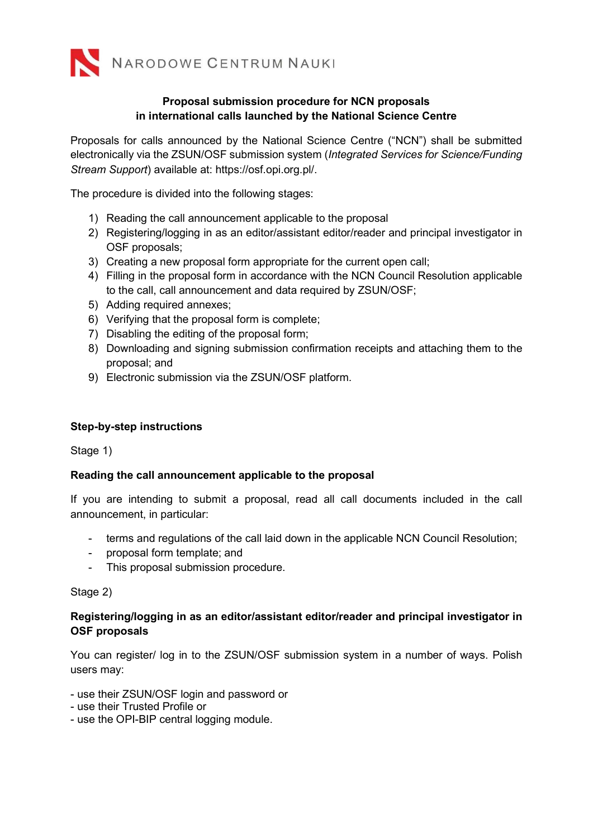

# Proposal submission procedure for NCN proposals in international calls launched by the National Science Centre

Proposals for calls announced by the National Science Centre ("NCN") shall be submitted electronically via the ZSUN/OSF submission system (Integrated Services for Science/Funding Stream Support) available at: https://osf.opi.org.pl/.

The procedure is divided into the following stages:

- 1) Reading the call announcement applicable to the proposal
- 2) Registering/logging in as an editor/assistant editor/reader and principal investigator in OSF proposals;
- 3) Creating a new proposal form appropriate for the current open call;
- 4) Filling in the proposal form in accordance with the NCN Council Resolution applicable to the call, call announcement and data required by ZSUN/OSF;
- 5) Adding required annexes;
- 6) Verifying that the proposal form is complete;
- 7) Disabling the editing of the proposal form;
- 8) Downloading and signing submission confirmation receipts and attaching them to the proposal; and
- 9) Electronic submission via the ZSUN/OSF platform.

### Step-by-step instructions

Stage 1)

### Reading the call announcement applicable to the proposal

If you are intending to submit a proposal, read all call documents included in the call announcement, in particular:

- terms and regulations of the call laid down in the applicable NCN Council Resolution;
- proposal form template; and
- This proposal submission procedure.

### Stage 2)

### Registering/logging in as an editor/assistant editor/reader and principal investigator in OSF proposals

You can register/ log in to the ZSUN/OSF submission system in a number of ways. Polish users may:

- use their ZSUN/OSF login and password or
- use their Trusted Profile or
- use the OPI-BIP central logging module.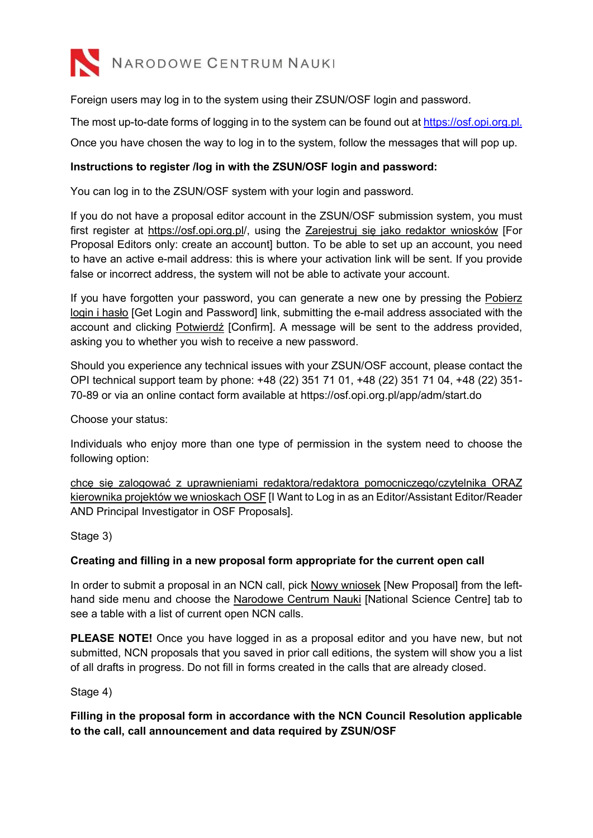

Foreign users may log in to the system using their ZSUN/OSF login and password.

The most up-to-date forms of logging in to the system can be found out at https://osf.opi.org.pl.

Once you have chosen the way to log in to the system, follow the messages that will pop up.

## Instructions to register /log in with the ZSUN/OSF login and password:

You can log in to the ZSUN/OSF system with your login and password.

If you do not have a proposal editor account in the ZSUN/OSF submission system, you must first register at https://osf.opi.org.pl/, using the Zarejestruj się jako redaktor wniosków [For Proposal Editors only: create an account] button. To be able to set up an account, you need to have an active e-mail address: this is where your activation link will be sent. If you provide false or incorrect address, the system will not be able to activate your account.

If you have forgotten your password, you can generate a new one by pressing the Pobierz login i hasło [Get Login and Password] link, submitting the e-mail address associated with the account and clicking Potwierdź [Confirm]. A message will be sent to the address provided, asking you to whether you wish to receive a new password.

Should you experience any technical issues with your ZSUN/OSF account, please contact the OPI technical support team by phone: +48 (22) 351 71 01, +48 (22) 351 71 04, +48 (22) 351- 70-89 or via an online contact form available at https://osf.opi.org.pl/app/adm/start.do

Choose your status:

Individuals who enjoy more than one type of permission in the system need to choose the following option:

chcę się zalogować z uprawnieniami redaktora/redaktora pomocniczego/czytelnika ORAZ kierownika projektów we wnioskach OSF [I Want to Log in as an Editor/Assistant Editor/Reader AND Principal Investigator in OSF Proposals].

Stage 3)

### Creating and filling in a new proposal form appropriate for the current open call

In order to submit a proposal in an NCN call, pick Nowy wniosek [New Proposal] from the lefthand side menu and choose the Narodowe Centrum Nauki [National Science Centre] tab to see a table with a list of current open NCN calls.

PLEASE NOTE! Once you have logged in as a proposal editor and you have new, but not submitted, NCN proposals that you saved in prior call editions, the system will show you a list of all drafts in progress. Do not fill in forms created in the calls that are already closed.

Stage 4)

Filling in the proposal form in accordance with the NCN Council Resolution applicable to the call, call announcement and data required by ZSUN/OSF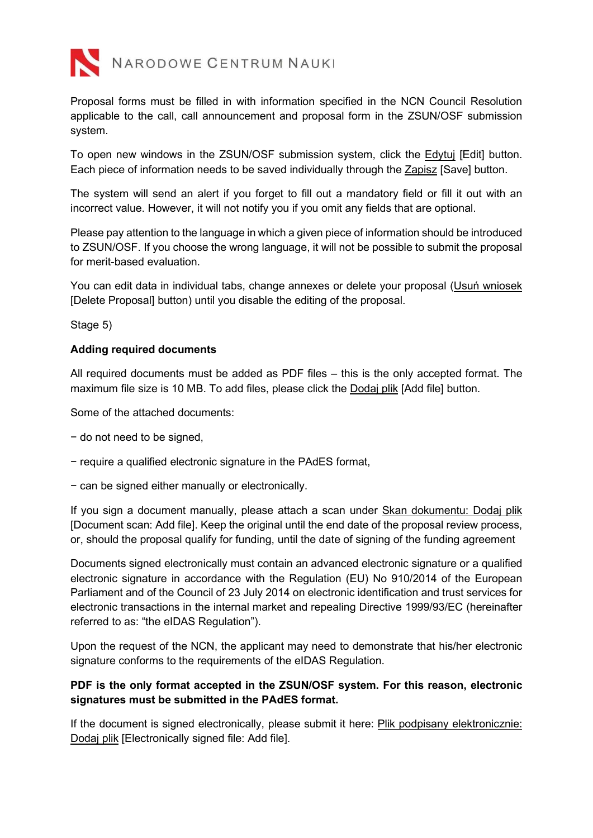

Proposal forms must be filled in with information specified in the NCN Council Resolution applicable to the call, call announcement and proposal form in the ZSUN/OSF submission system.

To open new windows in the ZSUN/OSF submission system, click the Edytuj [Edit] button. Each piece of information needs to be saved individually through the Zapisz [Save] button.

The system will send an alert if you forget to fill out a mandatory field or fill it out with an incorrect value. However, it will not notify you if you omit any fields that are optional.

Please pay attention to the language in which a given piece of information should be introduced to ZSUN/OSF. If you choose the wrong language, it will not be possible to submit the proposal for merit-based evaluation.

You can edit data in individual tabs, change annexes or delete your proposal (Usuń wniosek [Delete Proposal] button) until you disable the editing of the proposal.

Stage 5)

### Adding required documents

All required documents must be added as PDF files – this is the only accepted format. The maximum file size is 10 MB. To add files, please click the Dodaj plik [Add file] button.

Some of the attached documents:

- − do not need to be signed,
- − require a qualified electronic signature in the PAdES format,
- − can be signed either manually or electronically.

If you sign a document manually, please attach a scan under Skan dokumentu: Dodaj plik [Document scan: Add file]. Keep the original until the end date of the proposal review process, or, should the proposal qualify for funding, until the date of signing of the funding agreement

Documents signed electronically must contain an advanced electronic signature or a qualified electronic signature in accordance with the Regulation (EU) No 910/2014 of the European Parliament and of the Council of 23 July 2014 on electronic identification and trust services for electronic transactions in the internal market and repealing Directive 1999/93/EC (hereinafter referred to as: "the eIDAS Regulation").

Upon the request of the NCN, the applicant may need to demonstrate that his/her electronic signature conforms to the requirements of the eIDAS Regulation.

### PDF is the only format accepted in the ZSUN/OSF system. For this reason, electronic signatures must be submitted in the PAdES format.

If the document is signed electronically, please submit it here: Plik podpisany elektronicznie: Dodaj plik [Electronically signed file: Add file].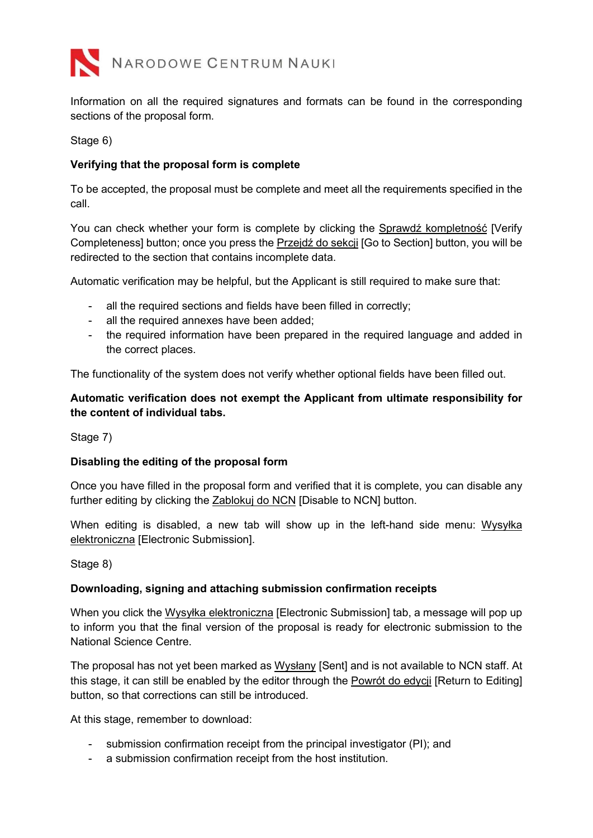

Information on all the required signatures and formats can be found in the corresponding sections of the proposal form.

Stage 6)

### Verifying that the proposal form is complete

To be accepted, the proposal must be complete and meet all the requirements specified in the call.

You can check whether your form is complete by clicking the Sprawdź kompletność [Verify Completeness] button; once you press the Przejdź do sekcji [Go to Section] button, you will be redirected to the section that contains incomplete data.

Automatic verification may be helpful, but the Applicant is still required to make sure that:

- all the required sections and fields have been filled in correctly;
- all the required annexes have been added;
- the required information have been prepared in the required language and added in the correct places.

The functionality of the system does not verify whether optional fields have been filled out.

### Automatic verification does not exempt the Applicant from ultimate responsibility for the content of individual tabs.

Stage 7)

### Disabling the editing of the proposal form

Once you have filled in the proposal form and verified that it is complete, you can disable any further editing by clicking the Zablokuj do NCN [Disable to NCN] button.

When editing is disabled, a new tab will show up in the left-hand side menu: Wysyłka elektroniczna [Electronic Submission].

Stage 8)

### Downloading, signing and attaching submission confirmation receipts

When you click the Wysyłka elektroniczna [Electronic Submission] tab, a message will pop up to inform you that the final version of the proposal is ready for electronic submission to the National Science Centre.

The proposal has not yet been marked as Wysłany [Sent] and is not available to NCN staff. At this stage, it can still be enabled by the editor through the Powrót do edycji [Return to Editing] button, so that corrections can still be introduced.

At this stage, remember to download:

- submission confirmation receipt from the principal investigator (PI); and
- a submission confirmation receipt from the host institution.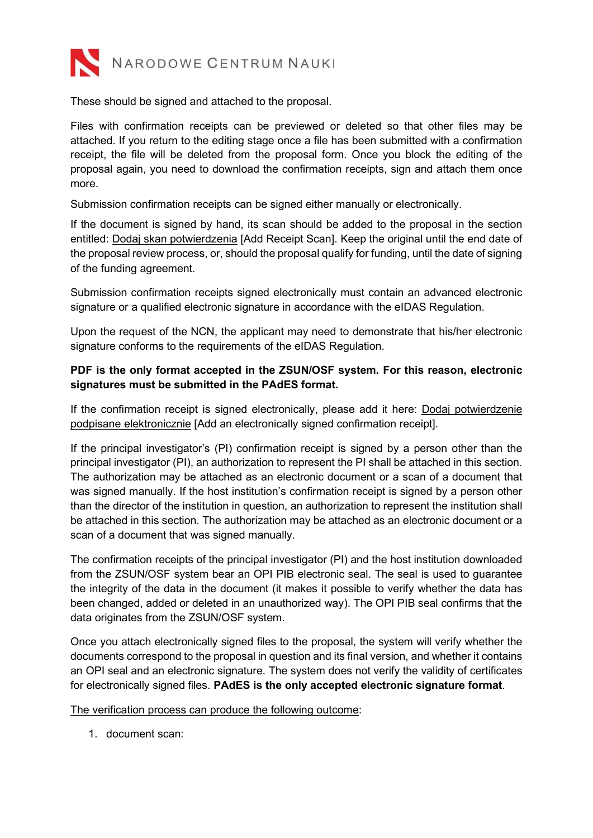

These should be signed and attached to the proposal.

Files with confirmation receipts can be previewed or deleted so that other files may be attached. If you return to the editing stage once a file has been submitted with a confirmation receipt, the file will be deleted from the proposal form. Once you block the editing of the proposal again, you need to download the confirmation receipts, sign and attach them once more.

Submission confirmation receipts can be signed either manually or electronically.

If the document is signed by hand, its scan should be added to the proposal in the section entitled: Dodaj skan potwierdzenia [Add Receipt Scan]. Keep the original until the end date of the proposal review process, or, should the proposal qualify for funding, until the date of signing of the funding agreement.

Submission confirmation receipts signed electronically must contain an advanced electronic signature or a qualified electronic signature in accordance with the eIDAS Regulation.

Upon the request of the NCN, the applicant may need to demonstrate that his/her electronic signature conforms to the requirements of the eIDAS Regulation.

# PDF is the only format accepted in the ZSUN/OSF system. For this reason, electronic signatures must be submitted in the PAdES format.

If the confirmation receipt is signed electronically, please add it here: Dodaj potwierdzenie podpisane elektronicznie [Add an electronically signed confirmation receipt].

If the principal investigator's (PI) confirmation receipt is signed by a person other than the principal investigator (PI), an authorization to represent the PI shall be attached in this section. The authorization may be attached as an electronic document or a scan of a document that was signed manually. If the host institution's confirmation receipt is signed by a person other than the director of the institution in question, an authorization to represent the institution shall be attached in this section. The authorization may be attached as an electronic document or a scan of a document that was signed manually.

The confirmation receipts of the principal investigator (PI) and the host institution downloaded from the ZSUN/OSF system bear an OPI PIB electronic seal. The seal is used to guarantee the integrity of the data in the document (it makes it possible to verify whether the data has been changed, added or deleted in an unauthorized way). The OPI PIB seal confirms that the data originates from the ZSUN/OSF system.

Once you attach electronically signed files to the proposal, the system will verify whether the documents correspond to the proposal in question and its final version, and whether it contains an OPI seal and an electronic signature. The system does not verify the validity of certificates for electronically signed files. PAdES is the only accepted electronic signature format.

### The verification process can produce the following outcome:

1. document scan: